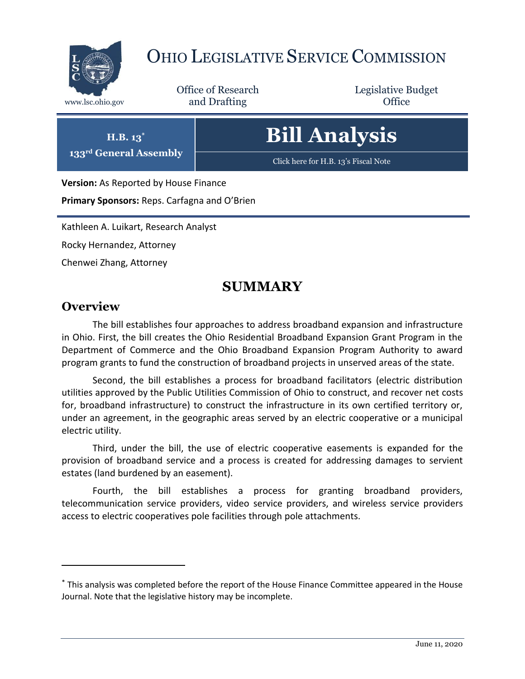

# OHIO LEGISLATIVE SERVICE COMMISSION

Office of Research www.lsc.ohio.gov **and Drafting Office** 

Legislative Budget

# **Bill Analysis**

[Click here for H.B. 13](https://www.legislature.ohio.gov/legislation/legislation-documents?id=GA133-HB-13)'s Fiscal Note

**Version:** As Reported by House Finance

**H.B. 13\* 133rd General Assembly**

**Primary Sponsors:** Reps. Carfagna and O'Brien

Kathleen A. Luikart, Research Analyst

Rocky Hernandez, Attorney

Chenwei Zhang, Attorney

## **SUMMARY**

## **Overview**

 $\overline{a}$ 

The bill establishes four approaches to address broadband expansion and infrastructure in Ohio. First, the bill creates the Ohio Residential Broadband Expansion Grant Program in the Department of Commerce and the Ohio Broadband Expansion Program Authority to award program grants to fund the construction of broadband projects in unserved areas of the state.

Second, the bill establishes a process for broadband facilitators (electric distribution utilities approved by the Public Utilities Commission of Ohio to construct, and recover net costs for, broadband infrastructure) to construct the infrastructure in its own certified territory or, under an agreement, in the geographic areas served by an electric cooperative or a municipal electric utility.

Third, under the bill, the use of electric cooperative easements is expanded for the provision of broadband service and a process is created for addressing damages to servient estates (land burdened by an easement).

Fourth, the bill establishes a process for granting broadband providers, telecommunication service providers, video service providers, and wireless service providers access to electric cooperatives pole facilities through pole attachments.

<sup>\*</sup> This analysis was completed before the report of the House Finance Committee appeared in the House Journal. Note that the legislative history may be incomplete.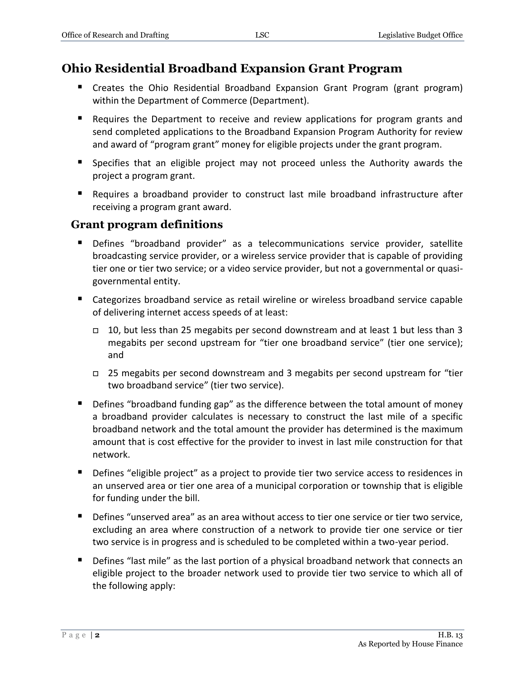## **Ohio Residential Broadband Expansion Grant Program**

- Creates the Ohio Residential Broadband Expansion Grant Program (grant program) within the Department of Commerce (Department).
- **E** Requires the Department to receive and review applications for program grants and send completed applications to the Broadband Expansion Program Authority for review and award of "program grant" money for eligible projects under the grant program.
- Specifies that an eligible project may not proceed unless the Authority awards the project a program grant.
- Requires a broadband provider to construct last mile broadband infrastructure after receiving a program grant award.

#### **Grant program definitions**

- Defines "broadband provider" as a telecommunications service provider, satellite broadcasting service provider, or a wireless service provider that is capable of providing tier one or tier two service; or a video service provider, but not a governmental or quasigovernmental entity.
- Categorizes broadband service as retail wireline or wireless broadband service capable of delivering internet access speeds of at least:
	- $\Box$  10, but less than 25 megabits per second downstream and at least 1 but less than 3 megabits per second upstream for "tier one broadband service" (tier one service); and
	- 25 megabits per second downstream and 3 megabits per second upstream for "tier two broadband service" (tier two service).
- **Defines "broadband funding gap" as the difference between the total amount of money** a broadband provider calculates is necessary to construct the last mile of a specific broadband network and the total amount the provider has determined is the maximum amount that is cost effective for the provider to invest in last mile construction for that network.
- **•** Defines "eligible project" as a project to provide tier two service access to residences in an unserved area or tier one area of a municipal corporation or township that is eligible for funding under the bill.
- Defines "unserved area" as an area without access to tier one service or tier two service, excluding an area where construction of a network to provide tier one service or tier two service is in progress and is scheduled to be completed within a two-year period.
- **•** Defines "last mile" as the last portion of a physical broadband network that connects an eligible project to the broader network used to provide tier two service to which all of the following apply:

As Reported by House Finance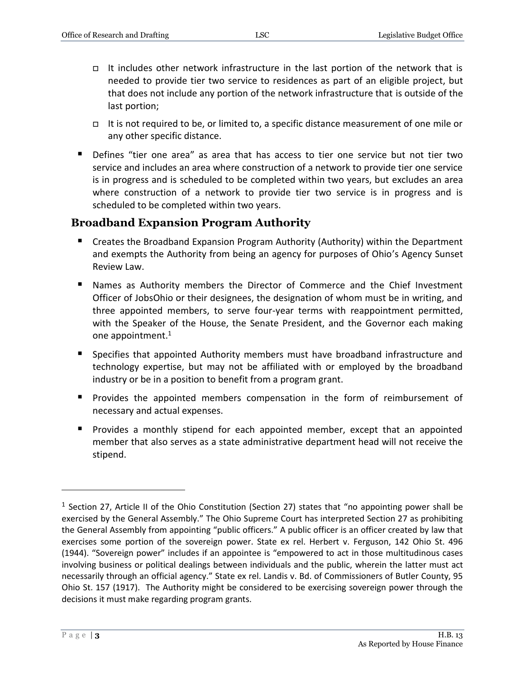- It includes other network infrastructure in the last portion of the network that is needed to provide tier two service to residences as part of an eligible project, but that does not include any portion of the network infrastructure that is outside of the last portion;
- It is not required to be, or limited to, a specific distance measurement of one mile or any other specific distance.
- Defines "tier one area" as area that has access to tier one service but not tier two service and includes an area where construction of a network to provide tier one service is in progress and is scheduled to be completed within two years, but excludes an area where construction of a network to provide tier two service is in progress and is scheduled to be completed within two years.

## **Broadband Expansion Program Authority**

- Creates the Broadband Expansion Program Authority (Authority) within the Department and exempts the Authority from being an agency for purposes of Ohio's Agency Sunset Review Law.
- Names as Authority members the Director of Commerce and the Chief Investment Officer of JobsOhio or their designees, the designation of whom must be in writing, and three appointed members, to serve four-year terms with reappointment permitted, with the Speaker of the House, the Senate President, and the Governor each making one appointment.<sup>1</sup>
- Specifies that appointed Authority members must have broadband infrastructure and technology expertise, but may not be affiliated with or employed by the broadband industry or be in a position to benefit from a program grant.
- Provides the appointed members compensation in the form of reimbursement of necessary and actual expenses.
- **Provides a monthly stipend for each appointed member, except that an appointed** member that also serves as a state administrative department head will not receive the stipend.

 $\overline{a}$ 

<sup>&</sup>lt;sup>1</sup> Section 27, Article II of the Ohio Constitution (Section 27) states that "no appointing power shall be exercised by the General Assembly." The Ohio Supreme Court has interpreted Section 27 as prohibiting the General Assembly from appointing "public officers." A public officer is an officer created by law that exercises some portion of the sovereign power. State ex rel. Herbert v. Ferguson, 142 Ohio St. 496 (1944). "Sovereign power" includes if an appointee is "empowered to act in those multitudinous cases involving business or political dealings between individuals and the public, wherein the latter must act necessarily through an official agency." State ex rel. Landis v. Bd. of Commissioners of Butler County, 95 Ohio St. 157 (1917). The Authority might be considered to be exercising sovereign power through the decisions it must make regarding program grants.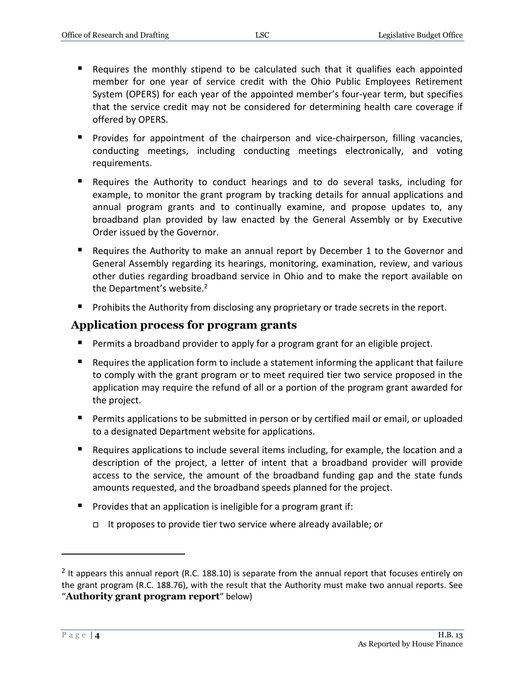- Requires the monthly stipend to be calculated such that it qualifies each appointed member for one year of service credit with the Ohio Public Employees Retirement System (OPERS) for each year of the appointed member's four-year term, but specifies that the service credit may not be considered for determining health care coverage if offered by OPERS.
- **Provides for appointment of the chairperson and vice-chairperson, filling vacancies,** conducting meetings, including conducting meetings electronically, and voting requirements.
- Requires the Authority to conduct hearings and to do several tasks, including for example, to monitor the grant program by tracking details for annual applications and annual program grants and to continually examine, and propose updates to, any broadband plan provided by law enacted by the General Assembly or by Executive Order issued by the Governor.
- Requires the Authority to make an annual report by December 1 to the Governor and General Assembly regarding its hearings, monitoring, examination, review, and various other duties regarding broadband service in Ohio and to make the report available on the Department's website.<sup>2</sup>
- **Prohibits the Authority from disclosing any proprietary or trade secrets in the report.**

## **Application process for program grants**

- **Permits a broadband provider to apply for a program grant for an eligible project.**
- Requires the application form to include a statement informing the applicant that failure to comply with the grant program or to meet required tier two service proposed in the application may require the refund of all or a portion of the program grant awarded for the project.
- **Permits applications to be submitted in person or by certified mail or email, or uploaded** to a designated Department website for applications.
- Requires applications to include several items including, for example, the location and a description of the project, a letter of intent that a broadband provider will provide access to the service, the amount of the broadband funding gap and the state funds amounts requested, and the broadband speeds planned for the project.
- **Provides that an application is ineligible for a program grant if:** 
	- It proposes to provide tier two service where already available; or

 $\overline{a}$ 

 $<sup>2</sup>$  It appears this annual report (R.C. 188.10) is separate from the annual report that focuses entirely on</sup> the grant program (R.C. 188.76), with the result that the Authority must make two annual reports. See "**Authority grant program report**" below)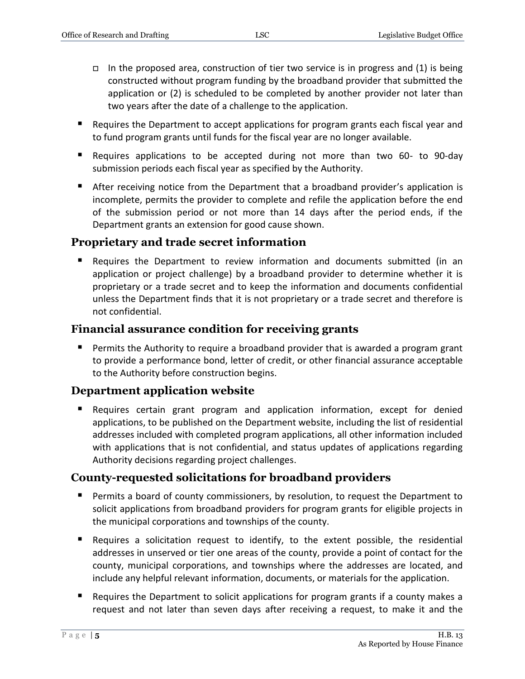- In the proposed area, construction of tier two service is in progress and (1) is being constructed without program funding by the broadband provider that submitted the application or (2) is scheduled to be completed by another provider not later than two years after the date of a challenge to the application.
- Requires the Department to accept applications for program grants each fiscal year and to fund program grants until funds for the fiscal year are no longer available.
- Requires applications to be accepted during not more than two 60- to 90-day submission periods each fiscal year as specified by the Authority.
- After receiving notice from the Department that a broadband provider's application is incomplete, permits the provider to complete and refile the application before the end of the submission period or not more than 14 days after the period ends, if the Department grants an extension for good cause shown.

## **Proprietary and trade secret information**

 Requires the Department to review information and documents submitted (in an application or project challenge) by a broadband provider to determine whether it is proprietary or a trade secret and to keep the information and documents confidential unless the Department finds that it is not proprietary or a trade secret and therefore is not confidential.

## **Financial assurance condition for receiving grants**

**Permits the Authority to require a broadband provider that is awarded a program grant** to provide a performance bond, letter of credit, or other financial assurance acceptable to the Authority before construction begins.

## **Department application website**

 Requires certain grant program and application information, except for denied applications, to be published on the Department website, including the list of residential addresses included with completed program applications, all other information included with applications that is not confidential, and status updates of applications regarding Authority decisions regarding project challenges.

## **County-requested solicitations for broadband providers**

- **Permits a board of county commissioners, by resolution, to request the Department to** solicit applications from broadband providers for program grants for eligible projects in the municipal corporations and townships of the county.
- Requires a solicitation request to identify, to the extent possible, the residential addresses in unserved or tier one areas of the county, provide a point of contact for the county, municipal corporations, and townships where the addresses are located, and include any helpful relevant information, documents, or materials for the application.
- **E** Requires the Department to solicit applications for program grants if a county makes a request and not later than seven days after receiving a request, to make it and the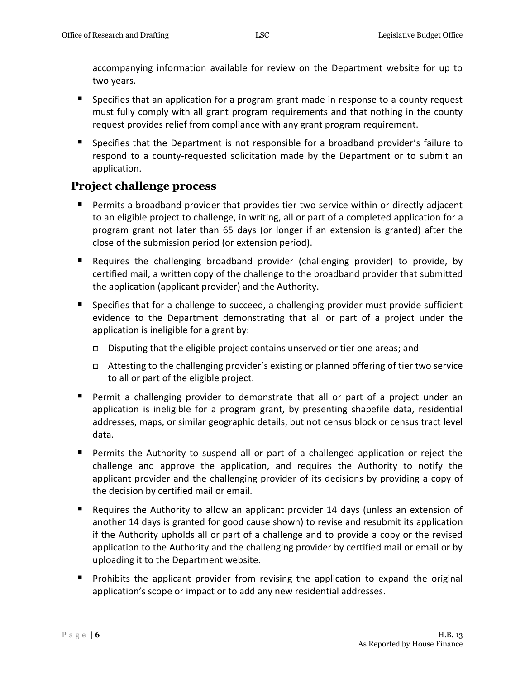accompanying information available for review on the Department website for up to two years.

- **Specifies that an application for a program grant made in response to a county request** must fully comply with all grant program requirements and that nothing in the county request provides relief from compliance with any grant program requirement.
- **Specifies that the Department is not responsible for a broadband provider's failure to** respond to a county-requested solicitation made by the Department or to submit an application.

## **Project challenge process**

- Permits a broadband provider that provides tier two service within or directly adjacent to an eligible project to challenge, in writing, all or part of a completed application for a program grant not later than 65 days (or longer if an extension is granted) after the close of the submission period (or extension period).
- Requires the challenging broadband provider (challenging provider) to provide, by certified mail, a written copy of the challenge to the broadband provider that submitted the application (applicant provider) and the Authority.
- **S** Specifies that for a challenge to succeed, a challenging provider must provide sufficient evidence to the Department demonstrating that all or part of a project under the application is ineligible for a grant by:
	- Disputing that the eligible project contains unserved or tier one areas; and
	- Attesting to the challenging provider's existing or planned offering of tier two service to all or part of the eligible project.
- Permit a challenging provider to demonstrate that all or part of a project under an application is ineligible for a program grant, by presenting shapefile data, residential addresses, maps, or similar geographic details, but not census block or census tract level data.
- Permits the Authority to suspend all or part of a challenged application or reject the challenge and approve the application, and requires the Authority to notify the applicant provider and the challenging provider of its decisions by providing a copy of the decision by certified mail or email.
- Requires the Authority to allow an applicant provider 14 days (unless an extension of another 14 days is granted for good cause shown) to revise and resubmit its application if the Authority upholds all or part of a challenge and to provide a copy or the revised application to the Authority and the challenging provider by certified mail or email or by uploading it to the Department website.
- **Prohibits the applicant provider from revising the application to expand the original** application's scope or impact or to add any new residential addresses.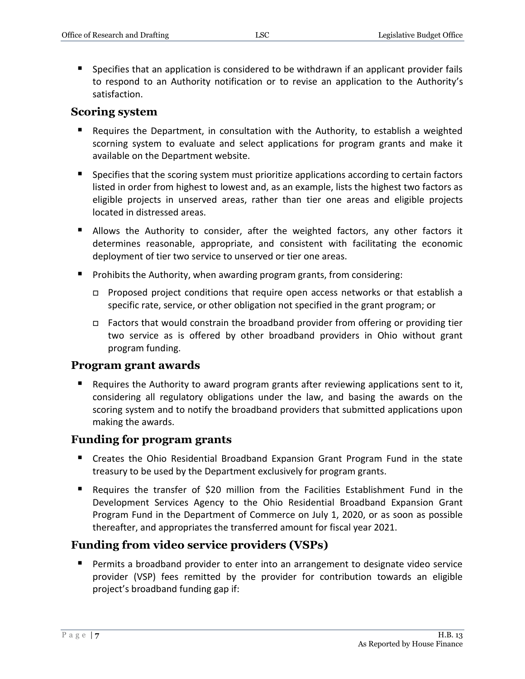Specifies that an application is considered to be withdrawn if an applicant provider fails to respond to an Authority notification or to revise an application to the Authority's satisfaction.

#### **Scoring system**

- Requires the Department, in consultation with the Authority, to establish a weighted scorning system to evaluate and select applications for program grants and make it available on the Department website.
- **Specifies that the scoring system must prioritize applications according to certain factors** listed in order from highest to lowest and, as an example, lists the highest two factors as eligible projects in unserved areas, rather than tier one areas and eligible projects located in distressed areas.
- **Allows the Authority to consider, after the weighted factors, any other factors it** determines reasonable, appropriate, and consistent with facilitating the economic deployment of tier two service to unserved or tier one areas.
- **Prohibits the Authority, when awarding program grants, from considering:** 
	- □ Proposed project conditions that require open access networks or that establish a specific rate, service, or other obligation not specified in the grant program; or
	- $\Box$  Factors that would constrain the broadband provider from offering or providing tier two service as is offered by other broadband providers in Ohio without grant program funding.

#### **Program grant awards**

**Requires the Authority to award program grants after reviewing applications sent to it,** considering all regulatory obligations under the law, and basing the awards on the scoring system and to notify the broadband providers that submitted applications upon making the awards.

#### **Funding for program grants**

- Creates the Ohio Residential Broadband Expansion Grant Program Fund in the state treasury to be used by the Department exclusively for program grants.
- Requires the transfer of \$20 million from the Facilities Establishment Fund in the Development Services Agency to the Ohio Residential Broadband Expansion Grant Program Fund in the Department of Commerce on July 1, 2020, or as soon as possible thereafter, and appropriates the transferred amount for fiscal year 2021.

#### **Funding from video service providers (VSPs)**

**Permits a broadband provider to enter into an arrangement to designate video service** provider (VSP) fees remitted by the provider for contribution towards an eligible project's broadband funding gap if: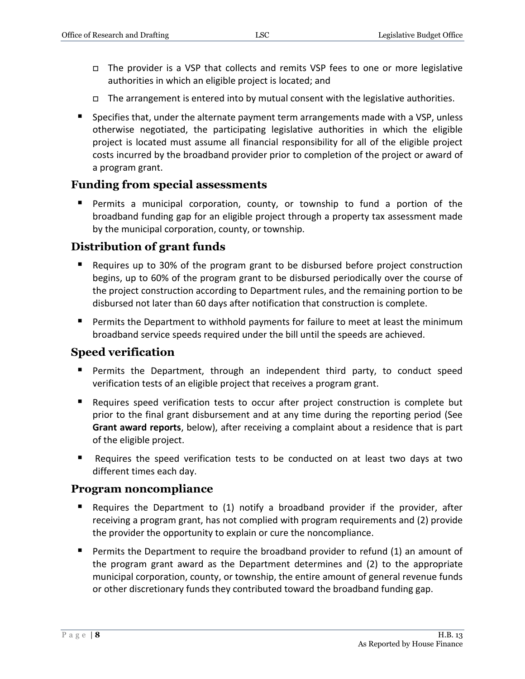- $\Box$  The provider is a VSP that collects and remits VSP fees to one or more legislative authorities in which an eligible project is located; and
- $\Box$  The arrangement is entered into by mutual consent with the legislative authorities.
- **Specifies that, under the alternate payment term arrangements made with a VSP, unless** otherwise negotiated, the participating legislative authorities in which the eligible project is located must assume all financial responsibility for all of the eligible project costs incurred by the broadband provider prior to completion of the project or award of a program grant.

#### **Funding from special assessments**

 Permits a municipal corporation, county, or township to fund a portion of the broadband funding gap for an eligible project through a property tax assessment made by the municipal corporation, county, or township.

#### **Distribution of grant funds**

- Requires up to 30% of the program grant to be disbursed before project construction begins, up to 60% of the program grant to be disbursed periodically over the course of the project construction according to Department rules, and the remaining portion to be disbursed not later than 60 days after notification that construction is complete.
- **Permits the Department to withhold payments for failure to meet at least the minimum** broadband service speeds required under the bill until the speeds are achieved.

#### **Speed verification**

- Permits the Department, through an independent third party, to conduct speed verification tests of an eligible project that receives a program grant.
- Requires speed verification tests to occur after project construction is complete but prior to the final grant disbursement and at any time during the reporting period (See **Grant award reports**, below), after receiving a complaint about a residence that is part of the eligible project.
- Requires the speed verification tests to be conducted on at least two days at two different times each day.

#### **Program noncompliance**

- Requires the Department to (1) notify a broadband provider if the provider, after receiving a program grant, has not complied with program requirements and (2) provide the provider the opportunity to explain or cure the noncompliance.
- **Permits the Department to require the broadband provider to refund (1) an amount of** the program grant award as the Department determines and (2) to the appropriate municipal corporation, county, or township, the entire amount of general revenue funds or other discretionary funds they contributed toward the broadband funding gap.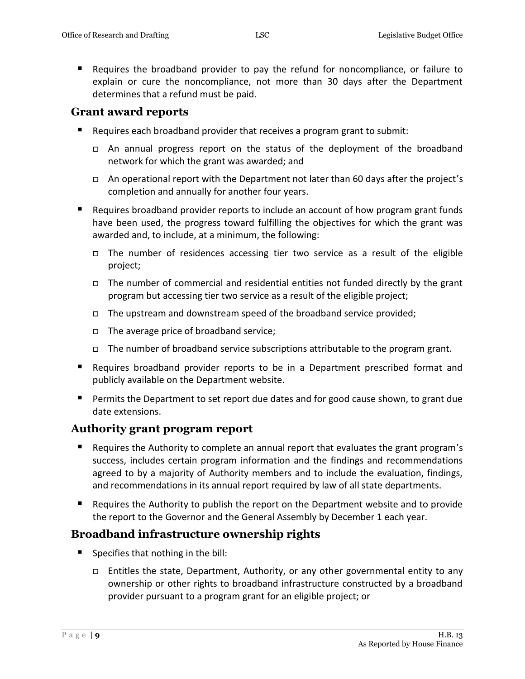Requires the broadband provider to pay the refund for noncompliance, or failure to explain or cure the noncompliance, not more than 30 days after the Department determines that a refund must be paid.

#### **Grant award reports**

- Requires each broadband provider that receives a program grant to submit:
	- An annual progress report on the status of the deployment of the broadband network for which the grant was awarded; and
	- □ An operational report with the Department not later than 60 days after the project's completion and annually for another four years.
- Requires broadband provider reports to include an account of how program grant funds have been used, the progress toward fulfilling the objectives for which the grant was awarded and, to include, at a minimum, the following:
	- $\Box$  The number of residences accessing tier two service as a result of the eligible project;
	- $\Box$  The number of commercial and residential entities not funded directly by the grant program but accessing tier two service as a result of the eligible project;
	- $\Box$  The upstream and downstream speed of the broadband service provided;
	- $\Box$  The average price of broadband service;
	- The number of broadband service subscriptions attributable to the program grant.
- Requires broadband provider reports to be in a Department prescribed format and publicly available on the Department website.
- **Permits the Department to set report due dates and for good cause shown, to grant due** date extensions.

#### **Authority grant program report**

- Requires the Authority to complete an annual report that evaluates the grant program's success, includes certain program information and the findings and recommendations agreed to by a majority of Authority members and to include the evaluation, findings, and recommendations in its annual report required by law of all state departments.
- Requires the Authority to publish the report on the Department website and to provide the report to the Governor and the General Assembly by December 1 each year.

## **Broadband infrastructure ownership rights**

- Specifies that nothing in the bill:
	- $\Box$  Entitles the state, Department, Authority, or any other governmental entity to any ownership or other rights to broadband infrastructure constructed by a broadband provider pursuant to a program grant for an eligible project; or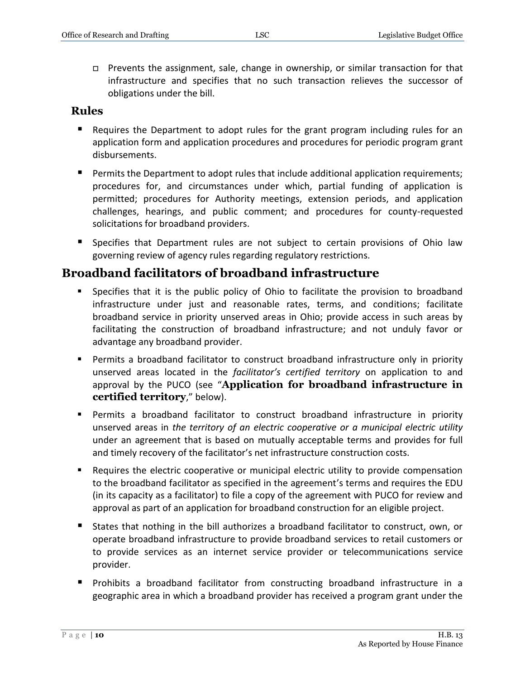$\Box$  Prevents the assignment, sale, change in ownership, or similar transaction for that infrastructure and specifies that no such transaction relieves the successor of obligations under the bill.

#### **Rules**

- Requires the Department to adopt rules for the grant program including rules for an application form and application procedures and procedures for periodic program grant disbursements.
- **Permits the Department to adopt rules that include additional application requirements;** procedures for, and circumstances under which, partial funding of application is permitted; procedures for Authority meetings, extension periods, and application challenges, hearings, and public comment; and procedures for county-requested solicitations for broadband providers.
- **Specifies that Department rules are not subject to certain provisions of Ohio law** governing review of agency rules regarding regulatory restrictions.

## **Broadband facilitators of broadband infrastructure**

- Specifies that it is the public policy of Ohio to facilitate the provision to broadband infrastructure under just and reasonable rates, terms, and conditions; facilitate broadband service in priority unserved areas in Ohio; provide access in such areas by facilitating the construction of broadband infrastructure; and not unduly favor or advantage any broadband provider.
- Permits a broadband facilitator to construct broadband infrastructure only in priority unserved areas located in the *facilitator's certified territory* on application to and approval by the PUCO (see "**Application for broadband infrastructure in certified territory**," below).
- Permits a broadband facilitator to construct broadband infrastructure in priority unserved areas in *the territory of an electric cooperative or a municipal electric utility* under an agreement that is based on mutually acceptable terms and provides for full and timely recovery of the facilitator's net infrastructure construction costs.
- Requires the electric cooperative or municipal electric utility to provide compensation to the broadband facilitator as specified in the agreement's terms and requires the EDU (in its capacity as a facilitator) to file a copy of the agreement with PUCO for review and approval as part of an application for broadband construction for an eligible project.
- States that nothing in the bill authorizes a broadband facilitator to construct, own, or operate broadband infrastructure to provide broadband services to retail customers or to provide services as an internet service provider or telecommunications service provider.
- Prohibits a broadband facilitator from constructing broadband infrastructure in a geographic area in which a broadband provider has received a program grant under the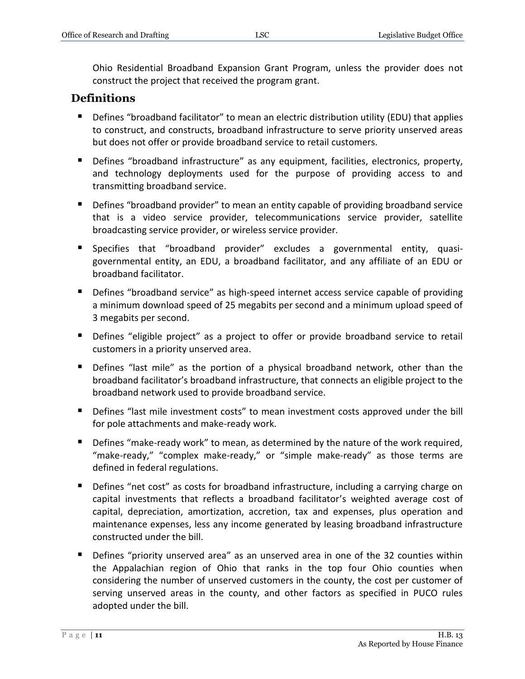Ohio Residential Broadband Expansion Grant Program, unless the provider does not construct the project that received the program grant.

## **Definitions**

- Defines "broadband facilitator" to mean an electric distribution utility (EDU) that applies to construct, and constructs, broadband infrastructure to serve priority unserved areas but does not offer or provide broadband service to retail customers.
- **Defines "broadband infrastructure" as any equipment, facilities, electronics, property,** and technology deployments used for the purpose of providing access to and transmitting broadband service.
- **Defines "broadband provider" to mean an entity capable of providing broadband service** that is a video service provider, telecommunications service provider, satellite broadcasting service provider, or wireless service provider.
- Specifies that "broadband provider" excludes a governmental entity, quasigovernmental entity, an EDU, a broadband facilitator, and any affiliate of an EDU or broadband facilitator.
- **Defines "broadband service" as high-speed internet access service capable of providing** a minimum download speed of 25 megabits per second and a minimum upload speed of 3 megabits per second.
- **Defines "eligible project" as a project to offer or provide broadband service to retail** customers in a priority unserved area.
- **Defines "last mile" as the portion of a physical broadband network, other than the** broadband facilitator's broadband infrastructure, that connects an eligible project to the broadband network used to provide broadband service.
- **Defines "last mile investment costs" to mean investment costs approved under the bill** for pole attachments and make-ready work.
- **•** Defines "make-ready work" to mean, as determined by the nature of the work required, "make-ready," "complex make-ready," or "simple make-ready" as those terms are defined in federal regulations.
- Defines "net cost" as costs for broadband infrastructure, including a carrying charge on capital investments that reflects a broadband facilitator's weighted average cost of capital, depreciation, amortization, accretion, tax and expenses, plus operation and maintenance expenses, less any income generated by leasing broadband infrastructure constructed under the bill.
- Defines "priority unserved area" as an unserved area in one of the 32 counties within the Appalachian region of Ohio that ranks in the top four Ohio counties when considering the number of unserved customers in the county, the cost per customer of serving unserved areas in the county, and other factors as specified in PUCO rules adopted under the bill.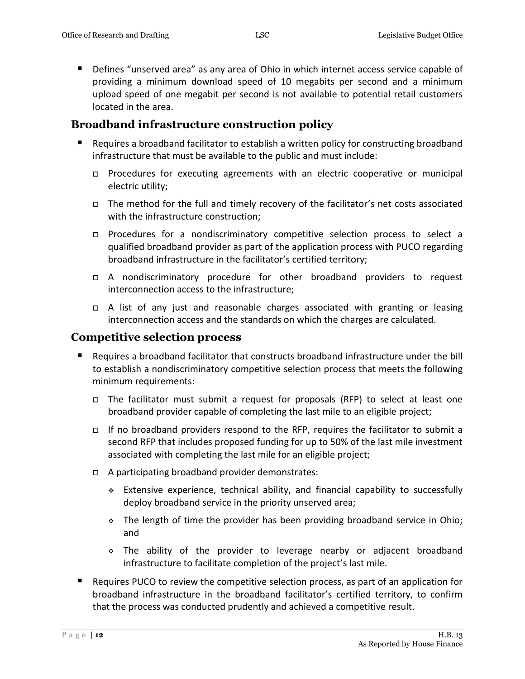Defines "unserved area" as any area of Ohio in which internet access service capable of providing a minimum download speed of 10 megabits per second and a minimum upload speed of one megabit per second is not available to potential retail customers located in the area.

### **Broadband infrastructure construction policy**

- Requires a broadband facilitator to establish a written policy for constructing broadband infrastructure that must be available to the public and must include:
	- □ Procedures for executing agreements with an electric cooperative or municipal electric utility;
	- $\Box$  The method for the full and timely recovery of the facilitator's net costs associated with the infrastructure construction;
	- Procedures for a nondiscriminatory competitive selection process to select a qualified broadband provider as part of the application process with PUCO regarding broadband infrastructure in the facilitator's certified territory;
	- A nondiscriminatory procedure for other broadband providers to request interconnection access to the infrastructure;
	- A list of any just and reasonable charges associated with granting or leasing interconnection access and the standards on which the charges are calculated.

#### **Competitive selection process**

- Requires a broadband facilitator that constructs broadband infrastructure under the bill to establish a nondiscriminatory competitive selection process that meets the following minimum requirements:
	- The facilitator must submit a request for proposals (RFP) to select at least one broadband provider capable of completing the last mile to an eligible project;
	- If no broadband providers respond to the RFP, requires the facilitator to submit a second RFP that includes proposed funding for up to 50% of the last mile investment associated with completing the last mile for an eligible project;
	- $\Box$  A participating broadband provider demonstrates:
		- Extensive experience, technical ability, and financial capability to successfully deploy broadband service in the priority unserved area;
		- The length of time the provider has been providing broadband service in Ohio; and
		- The ability of the provider to leverage nearby or adjacent broadband infrastructure to facilitate completion of the project's last mile.
- Requires PUCO to review the competitive selection process, as part of an application for broadband infrastructure in the broadband facilitator's certified territory, to confirm that the process was conducted prudently and achieved a competitive result.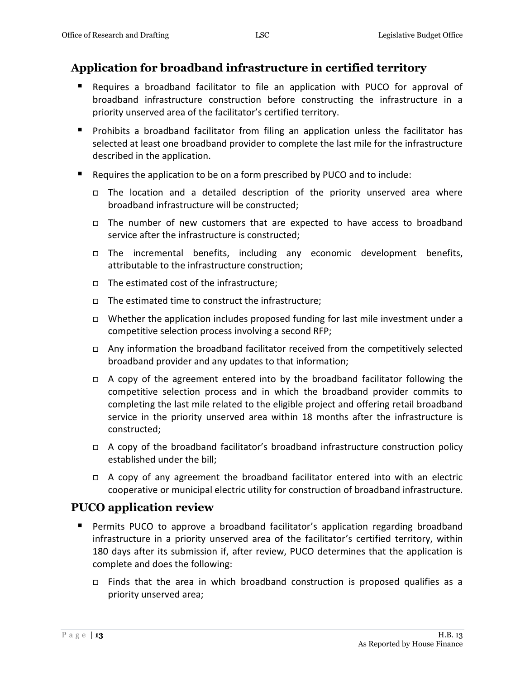## **Application for broadband infrastructure in certified territory**

- Requires a broadband facilitator to file an application with PUCO for approval of broadband infrastructure construction before constructing the infrastructure in a priority unserved area of the facilitator's certified territory.
- **Prohibits a broadband facilitator from filing an application unless the facilitator has** selected at least one broadband provider to complete the last mile for the infrastructure described in the application.
- Requires the application to be on a form prescribed by PUCO and to include:
	- The location and a detailed description of the priority unserved area where broadband infrastructure will be constructed;
	- The number of new customers that are expected to have access to broadband service after the infrastructure is constructed;
	- The incremental benefits, including any economic development benefits, attributable to the infrastructure construction;
	- $\Box$  The estimated cost of the infrastructure;
	- $\Box$  The estimated time to construct the infrastructure;
	- Whether the application includes proposed funding for last mile investment under a competitive selection process involving a second RFP;
	- □ Any information the broadband facilitator received from the competitively selected broadband provider and any updates to that information;
	- $\Box$  A copy of the agreement entered into by the broadband facilitator following the competitive selection process and in which the broadband provider commits to completing the last mile related to the eligible project and offering retail broadband service in the priority unserved area within 18 months after the infrastructure is constructed;
	- $\Box$  A copy of the broadband facilitator's broadband infrastructure construction policy established under the bill;
	- $\Box$  A copy of any agreement the broadband facilitator entered into with an electric cooperative or municipal electric utility for construction of broadband infrastructure.

## **PUCO application review**

- Permits PUCO to approve a broadband facilitator's application regarding broadband infrastructure in a priority unserved area of the facilitator's certified territory, within 180 days after its submission if, after review, PUCO determines that the application is complete and does the following:
	- Finds that the area in which broadband construction is proposed qualifies as a priority unserved area;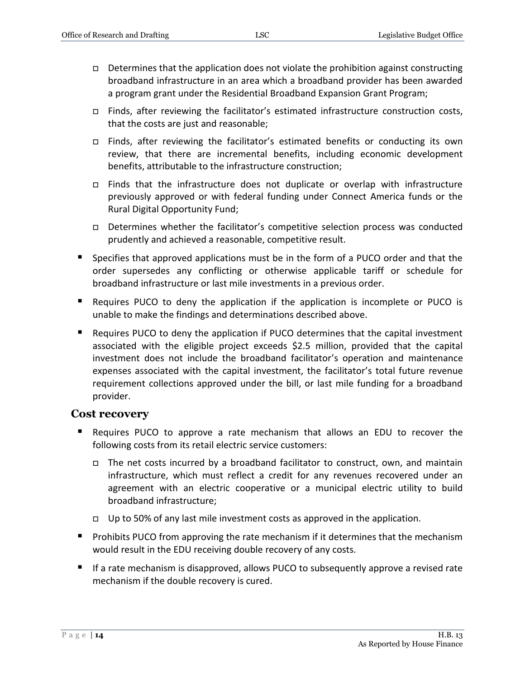- $\Box$  Determines that the application does not violate the prohibition against constructing broadband infrastructure in an area which a broadband provider has been awarded a program grant under the Residential Broadband Expansion Grant Program;
- $\Box$  Finds, after reviewing the facilitator's estimated infrastructure construction costs, that the costs are just and reasonable;
- □ Finds, after reviewing the facilitator's estimated benefits or conducting its own review, that there are incremental benefits, including economic development benefits, attributable to the infrastructure construction;
- Finds that the infrastructure does not duplicate or overlap with infrastructure previously approved or with federal funding under Connect America funds or the Rural Digital Opportunity Fund;
- Determines whether the facilitator's competitive selection process was conducted prudently and achieved a reasonable, competitive result.
- Specifies that approved applications must be in the form of a PUCO order and that the order supersedes any conflicting or otherwise applicable tariff or schedule for broadband infrastructure or last mile investments in a previous order.
- Requires PUCO to deny the application if the application is incomplete or PUCO is unable to make the findings and determinations described above.
- Requires PUCO to deny the application if PUCO determines that the capital investment associated with the eligible project exceeds \$2.5 million, provided that the capital investment does not include the broadband facilitator's operation and maintenance expenses associated with the capital investment, the facilitator's total future revenue requirement collections approved under the bill, or last mile funding for a broadband provider.

#### **Cost recovery**

- Requires PUCO to approve a rate mechanism that allows an EDU to recover the following costs from its retail electric service customers:
	- $\Box$  The net costs incurred by a broadband facilitator to construct, own, and maintain infrastructure, which must reflect a credit for any revenues recovered under an agreement with an electric cooperative or a municipal electric utility to build broadband infrastructure;
	- □ Up to 50% of any last mile investment costs as approved in the application.
- **Perohibits PUCO from approving the rate mechanism if it determines that the mechanism** would result in the EDU receiving double recovery of any costs.
- If a rate mechanism is disapproved, allows PUCO to subsequently approve a revised rate mechanism if the double recovery is cured.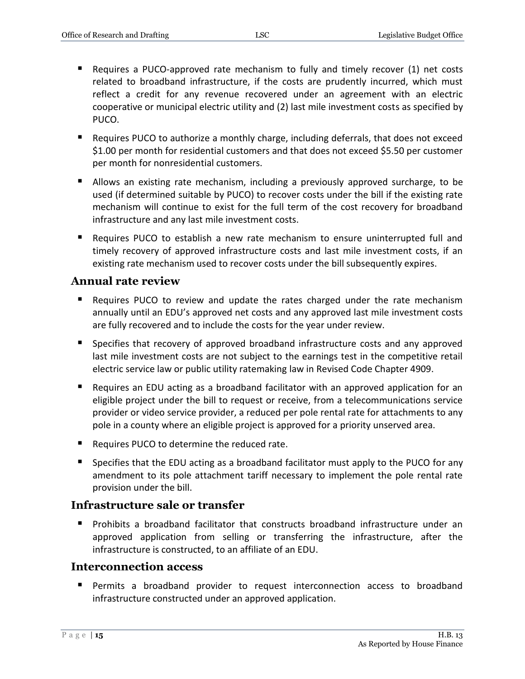- Requires a PUCO-approved rate mechanism to fully and timely recover (1) net costs related to broadband infrastructure, if the costs are prudently incurred, which must reflect a credit for any revenue recovered under an agreement with an electric cooperative or municipal electric utility and (2) last mile investment costs as specified by PUCO.
- Requires PUCO to authorize a monthly charge, including deferrals, that does not exceed \$1.00 per month for residential customers and that does not exceed \$5.50 per customer per month for nonresidential customers.
- Allows an existing rate mechanism, including a previously approved surcharge, to be used (if determined suitable by PUCO) to recover costs under the bill if the existing rate mechanism will continue to exist for the full term of the cost recovery for broadband infrastructure and any last mile investment costs.
- Requires PUCO to establish a new rate mechanism to ensure uninterrupted full and timely recovery of approved infrastructure costs and last mile investment costs, if an existing rate mechanism used to recover costs under the bill subsequently expires.

#### **Annual rate review**

- **E** Requires PUCO to review and update the rates charged under the rate mechanism annually until an EDU's approved net costs and any approved last mile investment costs are fully recovered and to include the costs for the year under review.
- **Specifies that recovery of approved broadband infrastructure costs and any approved** last mile investment costs are not subject to the earnings test in the competitive retail electric service law or public utility ratemaking law in Revised Code Chapter 4909.
- Requires an EDU acting as a broadband facilitator with an approved application for an eligible project under the bill to request or receive, from a telecommunications service provider or video service provider, a reduced per pole rental rate for attachments to any pole in a county where an eligible project is approved for a priority unserved area.
- Requires PUCO to determine the reduced rate.
- **Specifies that the EDU acting as a broadband facilitator must apply to the PUCO for any** amendment to its pole attachment tariff necessary to implement the pole rental rate provision under the bill.

#### **Infrastructure sale or transfer**

 Prohibits a broadband facilitator that constructs broadband infrastructure under an approved application from selling or transferring the infrastructure, after the infrastructure is constructed, to an affiliate of an EDU.

#### **Interconnection access**

 Permits a broadband provider to request interconnection access to broadband infrastructure constructed under an approved application.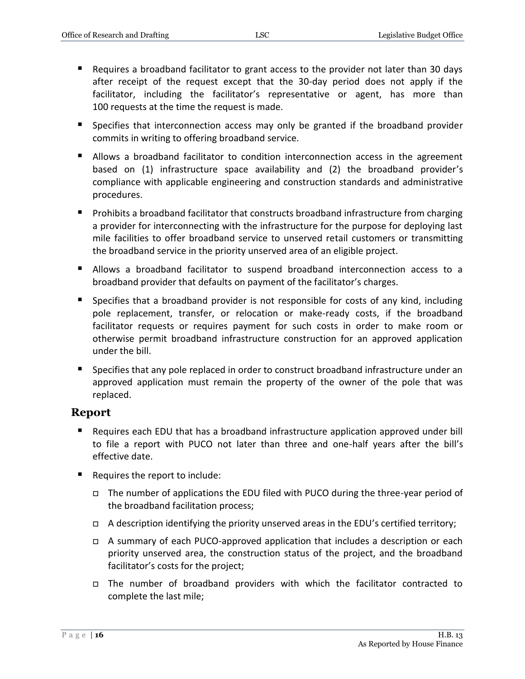- Requires a broadband facilitator to grant access to the provider not later than 30 days after receipt of the request except that the 30-day period does not apply if the facilitator, including the facilitator's representative or agent, has more than 100 requests at the time the request is made.
- **Specifies that interconnection access may only be granted if the broadband provider** commits in writing to offering broadband service.
- Allows a broadband facilitator to condition interconnection access in the agreement based on (1) infrastructure space availability and (2) the broadband provider's compliance with applicable engineering and construction standards and administrative procedures.
- **Prohibits a broadband facilitator that constructs broadband infrastructure from charging** a provider for interconnecting with the infrastructure for the purpose for deploying last mile facilities to offer broadband service to unserved retail customers or transmitting the broadband service in the priority unserved area of an eligible project.
- Allows a broadband facilitator to suspend broadband interconnection access to a broadband provider that defaults on payment of the facilitator's charges.
- **Specifies that a broadband provider is not responsible for costs of any kind, including** pole replacement, transfer, or relocation or make-ready costs, if the broadband facilitator requests or requires payment for such costs in order to make room or otherwise permit broadband infrastructure construction for an approved application under the bill.
- Specifies that any pole replaced in order to construct broadband infrastructure under an approved application must remain the property of the owner of the pole that was replaced.

#### **Report**

- Requires each EDU that has a broadband infrastructure application approved under bill to file a report with PUCO not later than three and one-half years after the bill's effective date.
- Requires the report to include:
	- The number of applications the EDU filed with PUCO during the three-year period of the broadband facilitation process;
	- $\Box$  A description identifying the priority unserved areas in the EDU's certified territory;
	- A summary of each PUCO-approved application that includes a description or each priority unserved area, the construction status of the project, and the broadband facilitator's costs for the project;
	- The number of broadband providers with which the facilitator contracted to complete the last mile;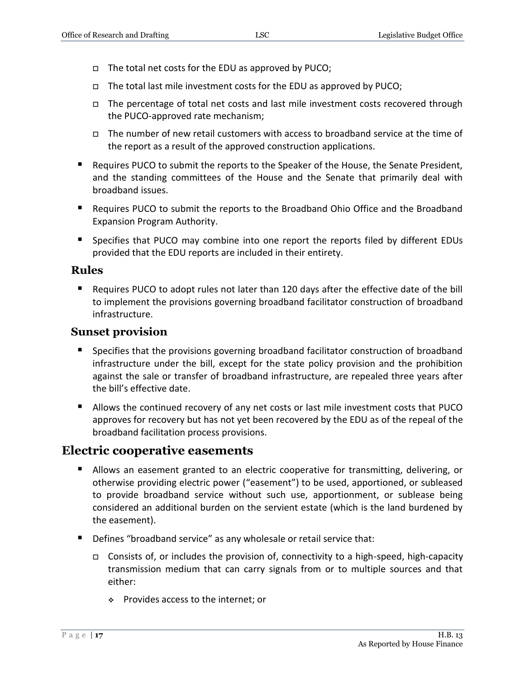- $\Box$  The total net costs for the EDU as approved by PUCO;
- $\Box$  The total last mile investment costs for the EDU as approved by PUCO;
- $\Box$  The percentage of total net costs and last mile investment costs recovered through the PUCO-approved rate mechanism;
- $\Box$  The number of new retail customers with access to broadband service at the time of the report as a result of the approved construction applications.
- **Requires PUCO to submit the reports to the Speaker of the House, the Senate President,** and the standing committees of the House and the Senate that primarily deal with broadband issues.
- Requires PUCO to submit the reports to the Broadband Ohio Office and the Broadband Expansion Program Authority.
- **Specifies that PUCO may combine into one report the reports filed by different EDUs** provided that the EDU reports are included in their entirety.

#### **Rules**

 Requires PUCO to adopt rules not later than 120 days after the effective date of the bill to implement the provisions governing broadband facilitator construction of broadband infrastructure.

#### **Sunset provision**

- Specifies that the provisions governing broadband facilitator construction of broadband infrastructure under the bill, except for the state policy provision and the prohibition against the sale or transfer of broadband infrastructure, are repealed three years after the bill's effective date.
- Allows the continued recovery of any net costs or last mile investment costs that PUCO approves for recovery but has not yet been recovered by the EDU as of the repeal of the broadband facilitation process provisions.

## **Electric cooperative easements**

- **Allows an easement granted to an electric cooperative for transmitting, delivering, or** otherwise providing electric power ("easement") to be used, apportioned, or subleased to provide broadband service without such use, apportionment, or sublease being considered an additional burden on the servient estate (which is the land burdened by the easement).
- Defines "broadband service" as any wholesale or retail service that:
	- $\Box$  Consists of, or includes the provision of, connectivity to a high-speed, high-capacity transmission medium that can carry signals from or to multiple sources and that either:
		- Provides access to the internet; or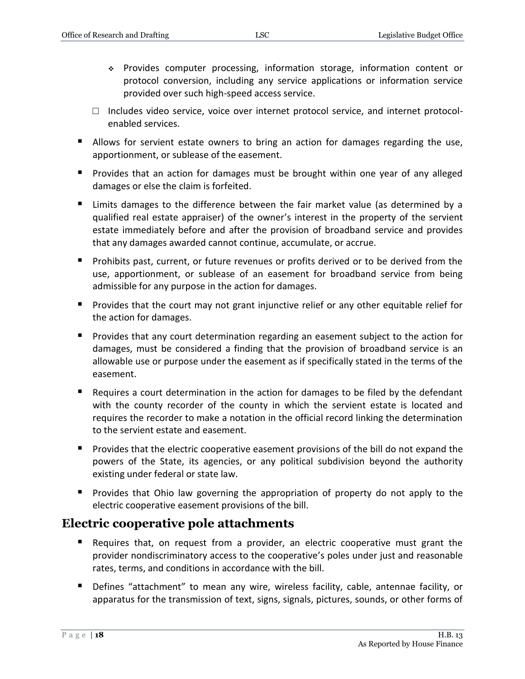- Provides computer processing, information storage, information content or protocol conversion, including any service applications or information service provided over such high-speed access service.
- $\Box$  Includes video service, voice over internet protocol service, and internet protocolenabled services.
- Allows for servient estate owners to bring an action for damages regarding the use, apportionment, or sublease of the easement.
- **Provides that an action for damages must be brought within one year of any alleged** damages or else the claim is forfeited.
- Limits damages to the difference between the fair market value (as determined by a qualified real estate appraiser) of the owner's interest in the property of the servient estate immediately before and after the provision of broadband service and provides that any damages awarded cannot continue, accumulate, or accrue.
- Prohibits past, current, or future revenues or profits derived or to be derived from the use, apportionment, or sublease of an easement for broadband service from being admissible for any purpose in the action for damages.
- Provides that the court may not grant injunctive relief or any other equitable relief for the action for damages.
- **Provides that any court determination regarding an easement subject to the action for** damages, must be considered a finding that the provision of broadband service is an allowable use or purpose under the easement as if specifically stated in the terms of the easement.
- Requires a court determination in the action for damages to be filed by the defendant with the county recorder of the county in which the servient estate is located and requires the recorder to make a notation in the official record linking the determination to the servient estate and easement.
- **Provides that the electric cooperative easement provisions of the bill do not expand the** powers of the State, its agencies, or any political subdivision beyond the authority existing under federal or state law.
- **Provides that Ohio law governing the appropriation of property do not apply to the** electric cooperative easement provisions of the bill.

## **Electric cooperative pole attachments**

- Requires that, on request from a provider, an electric cooperative must grant the provider nondiscriminatory access to the cooperative's poles under just and reasonable rates, terms, and conditions in accordance with the bill.
- Defines "attachment" to mean any wire, wireless facility, cable, antennae facility, or apparatus for the transmission of text, signs, signals, pictures, sounds, or other forms of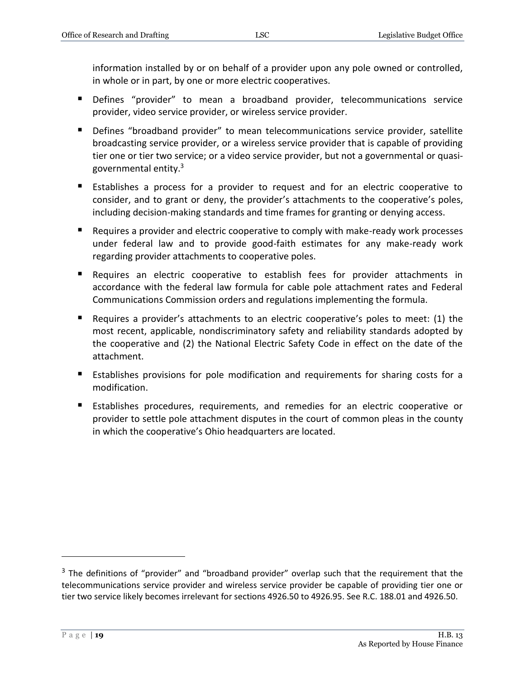information installed by or on behalf of a provider upon any pole owned or controlled, in whole or in part, by one or more electric cooperatives.

- Defines "provider" to mean a broadband provider, telecommunications service provider, video service provider, or wireless service provider.
- **Defines "broadband provider" to mean telecommunications service provider, satellite** broadcasting service provider, or a wireless service provider that is capable of providing tier one or tier two service; or a video service provider, but not a governmental or quasigovernmental entity.<sup>3</sup>
- Establishes a process for a provider to request and for an electric cooperative to consider, and to grant or deny, the provider's attachments to the cooperative's poles, including decision-making standards and time frames for granting or denying access.
- Requires a provider and electric cooperative to comply with make-ready work processes under federal law and to provide good-faith estimates for any make-ready work regarding provider attachments to cooperative poles.
- Requires an electric cooperative to establish fees for provider attachments in accordance with the federal law formula for cable pole attachment rates and Federal Communications Commission orders and regulations implementing the formula.
- Requires a provider's attachments to an electric cooperative's poles to meet: (1) the most recent, applicable, nondiscriminatory safety and reliability standards adopted by the cooperative and (2) the National Electric Safety Code in effect on the date of the attachment.
- Establishes provisions for pole modification and requirements for sharing costs for a modification.
- Establishes procedures, requirements, and remedies for an electric cooperative or provider to settle pole attachment disputes in the court of common pleas in the county in which the cooperative's Ohio headquarters are located.

 $\overline{a}$ 

 $3$  The definitions of "provider" and "broadband provider" overlap such that the requirement that the telecommunications service provider and wireless service provider be capable of providing tier one or tier two service likely becomes irrelevant for sections 4926.50 to 4926.95. See R.C. 188.01 and 4926.50.